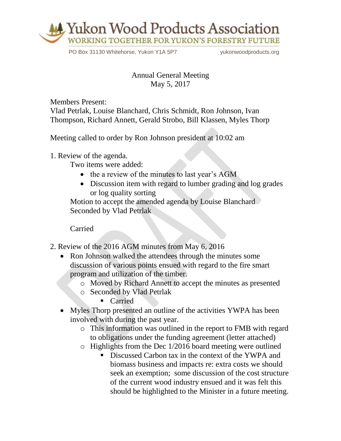

PO Box 31130 Whitehorse, Yukon Y1A 5P7 vukonwoodproducts.org

## Annual General Meeting May 5, 2017

Members Present: Vlad Petrlak, Louise Blanchard, Chris Schmidt, Ron Johnson, Ivan Thompson, Richard Annett, Gerald Strobo, Bill Klassen, Myles Thorp

Meeting called to order by Ron Johnson president at 10:02 am

1. Review of the agenda.

Two items were added:

- the a review of the minutes to last year's AGM
- Discussion item with regard to lumber grading and log grades or log quality sorting

Motion to accept the amended agenda by Louise Blanchard Seconded by Vlad Petrlak

Carried

- 2. Review of the 2016 AGM minutes from May 6, 2016
	- Ron Johnson walked the attendees through the minutes some discussion of various points ensued with regard to the fire smart program and utilization of the timber.
		- o Moved by Richard Annett to accept the minutes as presented
		- o Seconded by Vlad Petrlak

■ Carried

- Myles Thorp presented an outline of the activities YWPA has been involved with during the past year.
	- o This information was outlined in the report to FMB with regard to obligations under the funding agreement (letter attached)
	- o Highlights from the Dec 1/2016 board meeting were outlined
		- Discussed Carbon tax in the context of the YWPA and biomass business and impacts re: extra costs we should seek an exemption; some discussion of the cost structure of the current wood industry ensued and it was felt this should be highlighted to the Minister in a future meeting.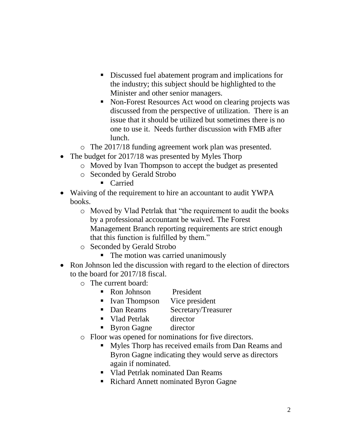- Discussed fuel abatement program and implications for the industry; this subject should be highlighted to the Minister and other senior managers.
- Non-Forest Resources Act wood on clearing projects was discussed from the perspective of utilization. There is an issue that it should be utilized but sometimes there is no one to use it. Needs further discussion with FMB after lunch.
- o The 2017/18 funding agreement work plan was presented.
- The budget for 2017/18 was presented by Myles Thorp
	- o Moved by Ivan Thompson to accept the budget as presented
	- o Seconded by Gerald Strobo
		- Carried
- Waiving of the requirement to hire an accountant to audit YWPA books.
	- o Moved by Vlad Petrlak that "the requirement to audit the books by a professional accountant be waived. The Forest Management Branch reporting requirements are strict enough that this function is fulfilled by them."
	- o Seconded by Gerald Strobo
		- The motion was carried unanimously
- Ron Johnson led the discussion with regard to the election of directors to the board for 2017/18 fiscal.
	- o The current board:
		- Ron Johnson President
		- Ivan Thompson Vice president
		- Dan Reams Secretary/Treasurer
		- Vlad Petrlak director
		- Byron Gagne director
	- o Floor was opened for nominations for five directors.
		- Myles Thorp has received emails from Dan Reams and Byron Gagne indicating they would serve as directors again if nominated.
		- Vlad Petrlak nominated Dan Reams
		- Richard Annett nominated Byron Gagne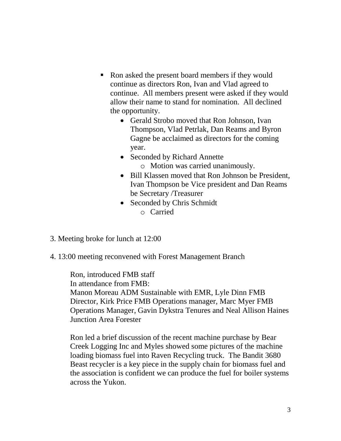- Ron asked the present board members if they would continue as directors Ron, Ivan and Vlad agreed to continue. All members present were asked if they would allow their name to stand for nomination. All declined the opportunity.
	- Gerald Strobo moved that Ron Johnson, Ivan Thompson, Vlad Petrlak, Dan Reams and Byron Gagne be acclaimed as directors for the coming year.
	- Seconded by Richard Annette o Motion was carried unanimously.
	- Bill Klassen moved that Ron Johnson be President, Ivan Thompson be Vice president and Dan Reams be Secretary /Treasurer
	- Seconded by Chris Schmidt o Carried
- 3. Meeting broke for lunch at 12:00
- 4. 13:00 meeting reconvened with Forest Management Branch

Ron, introduced FMB staff In attendance from FMB: Manon Moreau ADM Sustainable with EMR, Lyle Dinn FMB Director, Kirk Price FMB Operations manager, Marc Myer FMB Operations Manager, Gavin Dykstra Tenures and Neal Allison Haines Junction Area Forester

Ron led a brief discussion of the recent machine purchase by Bear Creek Logging Inc and Myles showed some pictures of the machine loading biomass fuel into Raven Recycling truck. The Bandit 3680 Beast recycler is a key piece in the supply chain for biomass fuel and the association is confident we can produce the fuel for boiler systems across the Yukon.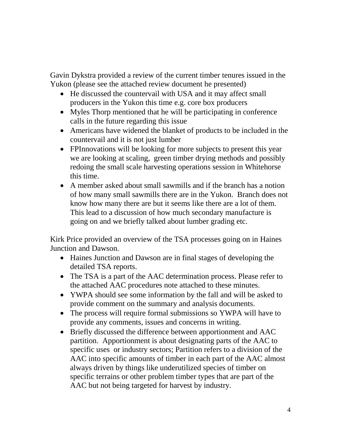Gavin Dykstra provided a review of the current timber tenures issued in the Yukon (please see the attached review document he presented)

- He discussed the countervail with USA and it may affect small producers in the Yukon this time e.g. core box producers
- Myles Thorp mentioned that he will be participating in conference calls in the future regarding this issue
- Americans have widened the blanket of products to be included in the countervail and it is not just lumber
- FPInnovations will be looking for more subjects to present this year we are looking at scaling, green timber drying methods and possibly redoing the small scale harvesting operations session in Whitehorse this time.
- A member asked about small sawmills and if the branch has a notion of how many small sawmills there are in the Yukon. Branch does not know how many there are but it seems like there are a lot of them. This lead to a discussion of how much secondary manufacture is going on and we briefly talked about lumber grading etc.

Kirk Price provided an overview of the TSA processes going on in Haines Junction and Dawson.

- Haines Junction and Dawson are in final stages of developing the detailed TSA reports.
- The TSA is a part of the AAC determination process. Please refer to the attached AAC procedures note attached to these minutes.
- YWPA should see some information by the fall and will be asked to provide comment on the summary and analysis documents.
- The process will require formal submissions so YWPA will have to provide any comments, issues and concerns in writing.
- Briefly discussed the difference between apportionment and AAC partition. Apportionment is about designating parts of the AAC to specific uses or industry sectors; Partition refers to a division of the AAC into specific amounts of timber in each part of the AAC almost always driven by things like underutilized species of timber on specific terrains or other problem timber types that are part of the AAC but not being targeted for harvest by industry.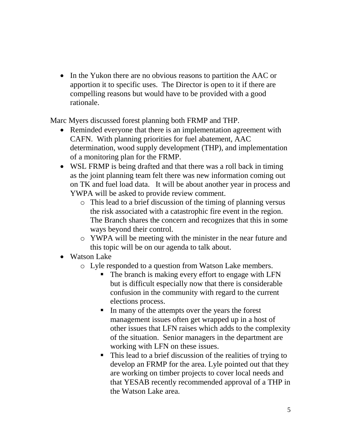• In the Yukon there are no obvious reasons to partition the AAC or apportion it to specific uses. The Director is open to it if there are compelling reasons but would have to be provided with a good rationale.

Marc Myers discussed forest planning both FRMP and THP.

- Reminded everyone that there is an implementation agreement with CAFN. With planning priorities for fuel abatement, AAC determination, wood supply development (THP), and implementation of a monitoring plan for the FRMP.
- WSL FRMP is being drafted and that there was a roll back in timing as the joint planning team felt there was new information coming out on TK and fuel load data. It will be about another year in process and YWPA will be asked to provide review comment.
	- o This lead to a brief discussion of the timing of planning versus the risk associated with a catastrophic fire event in the region. The Branch shares the concern and recognizes that this in some ways beyond their control.
	- o YWPA will be meeting with the minister in the near future and this topic will be on our agenda to talk about.
- Watson Lake
	- o Lyle responded to a question from Watson Lake members.
		- The branch is making every effort to engage with LFN but is difficult especially now that there is considerable confusion in the community with regard to the current elections process.
		- In many of the attempts over the years the forest management issues often get wrapped up in a host of other issues that LFN raises which adds to the complexity of the situation. Senior managers in the department are working with LFN on these issues.
		- This lead to a brief discussion of the realities of trying to develop an FRMP for the area. Lyle pointed out that they are working on timber projects to cover local needs and that YESAB recently recommended approval of a THP in the Watson Lake area.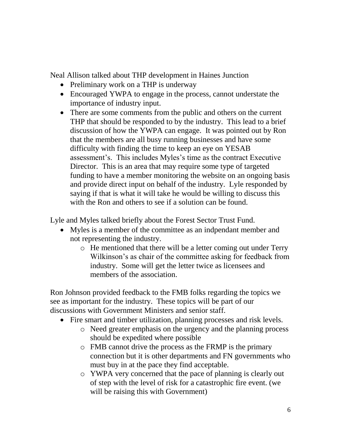Neal Allison talked about THP development in Haines Junction

- Preliminary work on a THP is underway
- Encouraged YWPA to engage in the process, cannot understate the importance of industry input.
- There are some comments from the public and others on the current THP that should be responded to by the industry. This lead to a brief discussion of how the YWPA can engage. It was pointed out by Ron that the members are all busy running businesses and have some difficulty with finding the time to keep an eye on YESAB assessment's. This includes Myles's time as the contract Executive Director. This is an area that may require some type of targeted funding to have a member monitoring the website on an ongoing basis and provide direct input on behalf of the industry. Lyle responded by saying if that is what it will take he would be willing to discuss this with the Ron and others to see if a solution can be found.

Lyle and Myles talked briefly about the Forest Sector Trust Fund.

- Myles is a member of the committee as an indpendant member and not representing the industry.
	- o He mentioned that there will be a letter coming out under Terry Wilkinson's as chair of the committee asking for feedback from industry. Some will get the letter twice as licensees and members of the association.

Ron Johnson provided feedback to the FMB folks regarding the topics we see as important for the industry. These topics will be part of our discussions with Government Ministers and senior staff.

- Fire smart and timber utilization, planning processes and risk levels.
	- o Need greater emphasis on the urgency and the planning process should be expedited where possible
	- o FMB cannot drive the process as the FRMP is the primary connection but it is other departments and FN governments who must buy in at the pace they find acceptable.
	- o YWPA very concerned that the pace of planning is clearly out of step with the level of risk for a catastrophic fire event. (we will be raising this with Government)